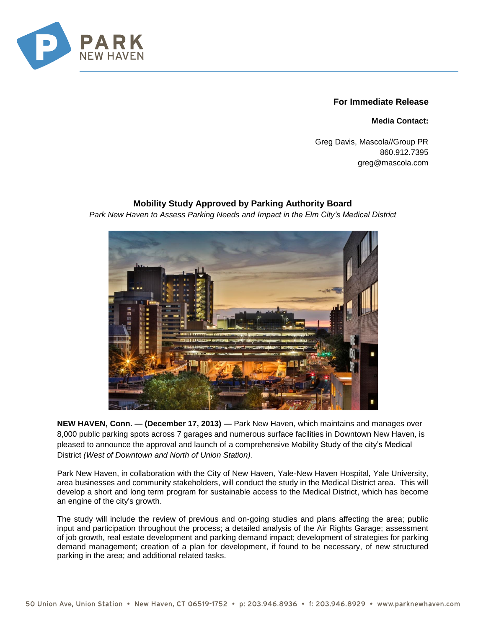

## **For Immediate Release**

**Media Contact:**

Greg Davis, Mascola//Group PR 860.912.7395 greg@mascola.com

## **Mobility Study Approved by Parking Authority Board**

*Park New Haven to Assess Parking Needs and Impact in the Elm City's Medical District* 



**NEW HAVEN, Conn. — (December 17, 2013) —** Park New Haven, which maintains and manages over 8,000 public parking spots across 7 garages and numerous surface facilities in Downtown New Haven, is pleased to announce the approval and launch of a comprehensive Mobility Study of the city's Medical District *(West of Downtown and North of Union Station)*.

Park New Haven, in collaboration with the City of New Haven, Yale-New Haven Hospital, Yale University, area businesses and community stakeholders, will conduct the study in the Medical District area. This will develop a short and long term program for sustainable access to the Medical District, which has become an engine of the city's growth.

The study will include the review of previous and on-going studies and plans affecting the area; public input and participation throughout the process; a detailed analysis of the Air Rights Garage; assessment of job growth, real estate development and parking demand impact; development of strategies for parking demand management; creation of a plan for development, if found to be necessary, of new structured parking in the area; and additional related tasks.